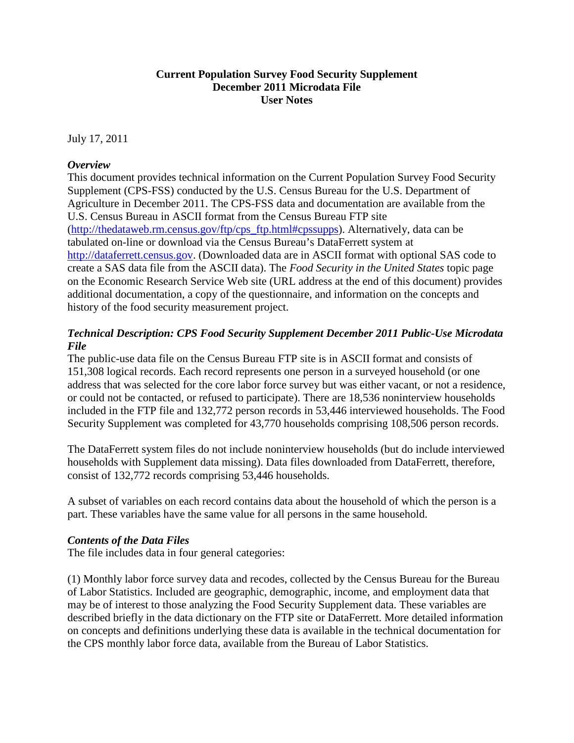# **Current Population Survey Food Security Supplement December 2011 Microdata File User Notes**

July 17, 2011

### *Overview*

This document provides technical information on the Current Population Survey Food Security Supplement (CPS-FSS) conducted by the U.S. Census Bureau for the U.S. Department of Agriculture in December 2011. The CPS-FSS data and documentation are available from the U.S. Census Bureau in ASCII format from the Census Bureau FTP site [\(http://thedataweb.rm.census.gov/ftp/cps\\_ftp.html#cpssupps\)](http://thedataweb.rm.census.gov/ftp/cps_ftp.html#cpssupps). Alternatively, data can be tabulated on-line or download via the Census Bureau's DataFerrett system at [http://dataferrett.census.gov.](http://dataferrett.census.gov/) (Downloaded data are in ASCII format with optional SAS code to create a SAS data file from the ASCII data). The *Food Security in the United States* topic page on the Economic Research Service Web site (URL address at the end of this document) provides additional documentation, a copy of the questionnaire, and information on the concepts and history of the food security measurement project.

# *Technical Description: CPS Food Security Supplement December 2011 Public-Use Microdata File*

The public-use data file on the Census Bureau FTP site is in ASCII format and consists of 151,308 logical records. Each record represents one person in a surveyed household (or one address that was selected for the core labor force survey but was either vacant, or not a residence, or could not be contacted, or refused to participate). There are 18,536 noninterview households included in the FTP file and 132,772 person records in 53,446 interviewed households. The Food Security Supplement was completed for 43,770 households comprising 108,506 person records.

The DataFerrett system files do not include noninterview households (but do include interviewed households with Supplement data missing). Data files downloaded from DataFerrett, therefore, consist of 132,772 records comprising 53,446 households.

A subset of variables on each record contains data about the household of which the person is a part. These variables have the same value for all persons in the same household.

# *Contents of the Data Files*

The file includes data in four general categories:

(1) Monthly labor force survey data and recodes, collected by the Census Bureau for the Bureau of Labor Statistics. Included are geographic, demographic, income, and employment data that may be of interest to those analyzing the Food Security Supplement data. These variables are described briefly in the data dictionary on the FTP site or DataFerrett. More detailed information on concepts and definitions underlying these data is available in the technical documentation for the CPS monthly labor force data, available from the Bureau of Labor Statistics.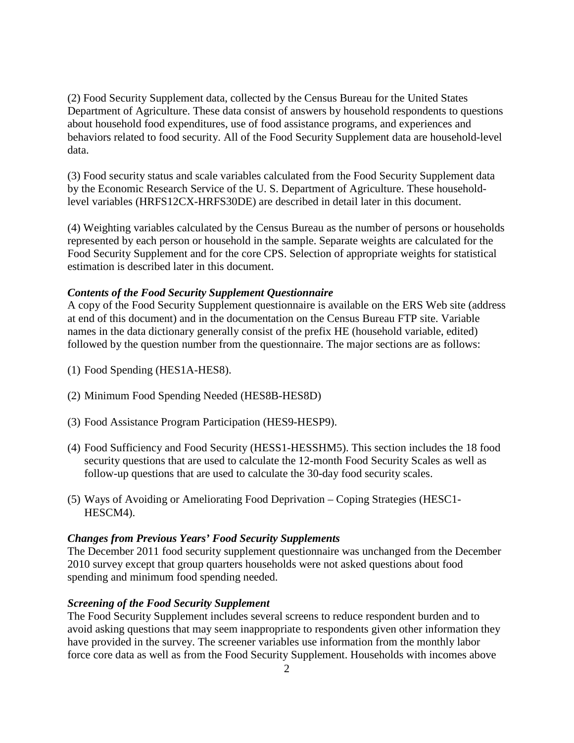(2) Food Security Supplement data, collected by the Census Bureau for the United States Department of Agriculture. These data consist of answers by household respondents to questions about household food expenditures, use of food assistance programs, and experiences and behaviors related to food security. All of the Food Security Supplement data are household-level data.

(3) Food security status and scale variables calculated from the Food Security Supplement data by the Economic Research Service of the U. S. Department of Agriculture. These householdlevel variables (HRFS12CX-HRFS30DE) are described in detail later in this document.

(4) Weighting variables calculated by the Census Bureau as the number of persons or households represented by each person or household in the sample. Separate weights are calculated for the Food Security Supplement and for the core CPS. Selection of appropriate weights for statistical estimation is described later in this document.

### *Contents of the Food Security Supplement Questionnaire*

A copy of the Food Security Supplement questionnaire is available on the ERS Web site (address at end of this document) and in the documentation on the Census Bureau FTP site. Variable names in the data dictionary generally consist of the prefix HE (household variable, edited) followed by the question number from the questionnaire. The major sections are as follows:

- (1) Food Spending (HES1A-HES8).
- (2) Minimum Food Spending Needed (HES8B-HES8D)
- (3) Food Assistance Program Participation (HES9-HESP9).
- (4) Food Sufficiency and Food Security (HESS1-HESSHM5). This section includes the 18 food security questions that are used to calculate the 12-month Food Security Scales as well as follow-up questions that are used to calculate the 30-day food security scales.
- (5) Ways of Avoiding or Ameliorating Food Deprivation Coping Strategies (HESC1- HESCM4).

#### *Changes from Previous Years' Food Security Supplements*

The December 2011 food security supplement questionnaire was unchanged from the December 2010 survey except that group quarters households were not asked questions about food spending and minimum food spending needed.

### *Screening of the Food Security Supplement*

The Food Security Supplement includes several screens to reduce respondent burden and to avoid asking questions that may seem inappropriate to respondents given other information they have provided in the survey. The screener variables use information from the monthly labor force core data as well as from the Food Security Supplement. Households with incomes above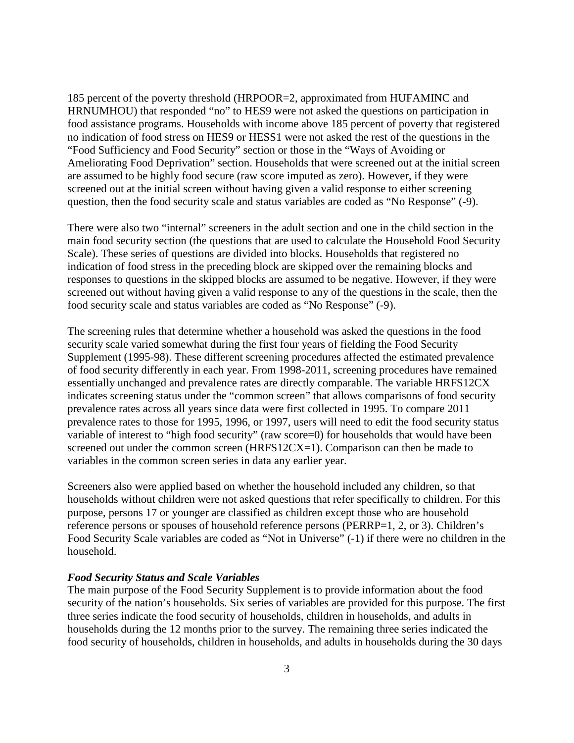185 percent of the poverty threshold (HRPOOR=2, approximated from HUFAMINC and HRNUMHOU) that responded "no" to HES9 were not asked the questions on participation in food assistance programs. Households with income above 185 percent of poverty that registered no indication of food stress on HES9 or HESS1 were not asked the rest of the questions in the "Food Sufficiency and Food Security" section or those in the "Ways of Avoiding or Ameliorating Food Deprivation" section. Households that were screened out at the initial screen are assumed to be highly food secure (raw score imputed as zero). However, if they were screened out at the initial screen without having given a valid response to either screening question, then the food security scale and status variables are coded as "No Response" (-9).

There were also two "internal" screeners in the adult section and one in the child section in the main food security section (the questions that are used to calculate the Household Food Security Scale). These series of questions are divided into blocks. Households that registered no indication of food stress in the preceding block are skipped over the remaining blocks and responses to questions in the skipped blocks are assumed to be negative. However, if they were screened out without having given a valid response to any of the questions in the scale, then the food security scale and status variables are coded as "No Response" (-9).

The screening rules that determine whether a household was asked the questions in the food security scale varied somewhat during the first four years of fielding the Food Security Supplement (1995-98). These different screening procedures affected the estimated prevalence of food security differently in each year. From 1998-2011, screening procedures have remained essentially unchanged and prevalence rates are directly comparable. The variable HRFS12CX indicates screening status under the "common screen" that allows comparisons of food security prevalence rates across all years since data were first collected in 1995. To compare 2011 prevalence rates to those for 1995, 1996, or 1997, users will need to edit the food security status variable of interest to "high food security" (raw score=0) for households that would have been screened out under the common screen (HRFS12CX=1). Comparison can then be made to variables in the common screen series in data any earlier year.

Screeners also were applied based on whether the household included any children, so that households without children were not asked questions that refer specifically to children. For this purpose, persons 17 or younger are classified as children except those who are household reference persons or spouses of household reference persons (PERRP=1, 2, or 3). Children's Food Security Scale variables are coded as "Not in Universe" (-1) if there were no children in the household.

### *Food Security Status and Scale Variables*

The main purpose of the Food Security Supplement is to provide information about the food security of the nation's households. Six series of variables are provided for this purpose. The first three series indicate the food security of households, children in households, and adults in households during the 12 months prior to the survey. The remaining three series indicated the food security of households, children in households, and adults in households during the 30 days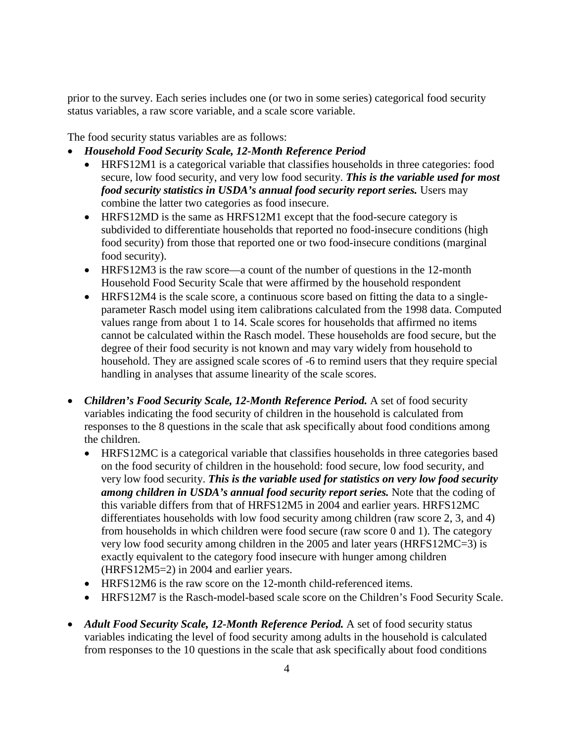prior to the survey. Each series includes one (or two in some series) categorical food security status variables, a raw score variable, and a scale score variable.

The food security status variables are as follows:

- *Household Food Security Scale, 12-Month Reference Period*
	- HRFS12M1 is a categorical variable that classifies households in three categories: food secure, low food security, and very low food security. *This is the variable used for most food security statistics in USDA's annual food security report series.* Users may combine the latter two categories as food insecure.
	- HRFS12MD is the same as HRFS12M1 except that the food-secure category is subdivided to differentiate households that reported no food-insecure conditions (high food security) from those that reported one or two food-insecure conditions (marginal food security).
	- HRFS12M3 is the raw score—a count of the number of questions in the 12-month Household Food Security Scale that were affirmed by the household respondent
	- HRFS12M4 is the scale score, a continuous score based on fitting the data to a singleparameter Rasch model using item calibrations calculated from the 1998 data. Computed values range from about 1 to 14. Scale scores for households that affirmed no items cannot be calculated within the Rasch model. These households are food secure, but the degree of their food security is not known and may vary widely from household to household. They are assigned scale scores of -6 to remind users that they require special handling in analyses that assume linearity of the scale scores.
- *Children's Food Security Scale, 12-Month Reference Period.* A set of food security variables indicating the food security of children in the household is calculated from responses to the 8 questions in the scale that ask specifically about food conditions among the children.
	- HRFS12MC is a categorical variable that classifies households in three categories based on the food security of children in the household: food secure, low food security, and very low food security. *This is the variable used for statistics on very low food security among children in USDA's annual food security report series.* Note that the coding of this variable differs from that of HRFS12M5 in 2004 and earlier years. HRFS12MC differentiates households with low food security among children (raw score 2, 3, and 4) from households in which children were food secure (raw score 0 and 1). The category very low food security among children in the 2005 and later years (HRFS12MC=3) is exactly equivalent to the category food insecure with hunger among children (HRFS12M5=2) in 2004 and earlier years.
	- HRFS12M6 is the raw score on the 12-month child-referenced items.
	- HRFS12M7 is the Rasch-model-based scale score on the Children's Food Security Scale.
- *Adult Food Security Scale, 12-Month Reference Period.* A set of food security status variables indicating the level of food security among adults in the household is calculated from responses to the 10 questions in the scale that ask specifically about food conditions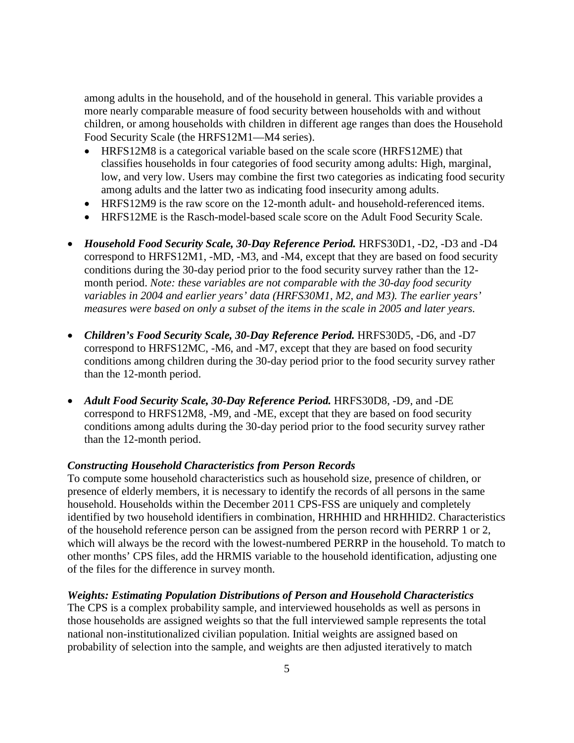among adults in the household, and of the household in general. This variable provides a more nearly comparable measure of food security between households with and without children, or among households with children in different age ranges than does the Household Food Security Scale (the HRFS12M1—M4 series).

- HRFS12M8 is a categorical variable based on the scale score (HRFS12ME) that classifies households in four categories of food security among adults: High, marginal, low, and very low. Users may combine the first two categories as indicating food security among adults and the latter two as indicating food insecurity among adults.
- HRFS12M9 is the raw score on the 12-month adult- and household-referenced items.
- HRFS12ME is the Rasch-model-based scale score on the Adult Food Security Scale.
- *Household Food Security Scale, 30-Day Reference Period.* HRFS30D1, -D2, -D3 and -D4 correspond to HRFS12M1, -MD, -M3, and -M4, except that they are based on food security conditions during the 30-day period prior to the food security survey rather than the 12 month period. *Note: these variables are not comparable with the 30-day food security variables in 2004 and earlier years' data (HRFS30M1, M2, and M3). The earlier years' measures were based on only a subset of the items in the scale in 2005 and later years.*
- *Children's Food Security Scale, 30-Day Reference Period.* HRFS30D5, -D6, and -D7 correspond to HRFS12MC, -M6, and -M7, except that they are based on food security conditions among children during the 30-day period prior to the food security survey rather than the 12-month period.
- *Adult Food Security Scale, 30-Day Reference Period.* HRFS30D8, -D9, and -DE correspond to HRFS12M8, -M9, and -ME, except that they are based on food security conditions among adults during the 30-day period prior to the food security survey rather than the 12-month period.

#### *Constructing Household Characteristics from Person Records*

To compute some household characteristics such as household size, presence of children, or presence of elderly members, it is necessary to identify the records of all persons in the same household. Households within the December 2011 CPS-FSS are uniquely and completely identified by two household identifiers in combination, HRHHID and HRHHID2. Characteristics of the household reference person can be assigned from the person record with PERRP 1 or 2, which will always be the record with the lowest-numbered PERRP in the household. To match to other months' CPS files, add the HRMIS variable to the household identification, adjusting one of the files for the difference in survey month.

#### *Weights: Estimating Population Distributions of Person and Household Characteristics*

The CPS is a complex probability sample, and interviewed households as well as persons in those households are assigned weights so that the full interviewed sample represents the total national non-institutionalized civilian population. Initial weights are assigned based on probability of selection into the sample, and weights are then adjusted iteratively to match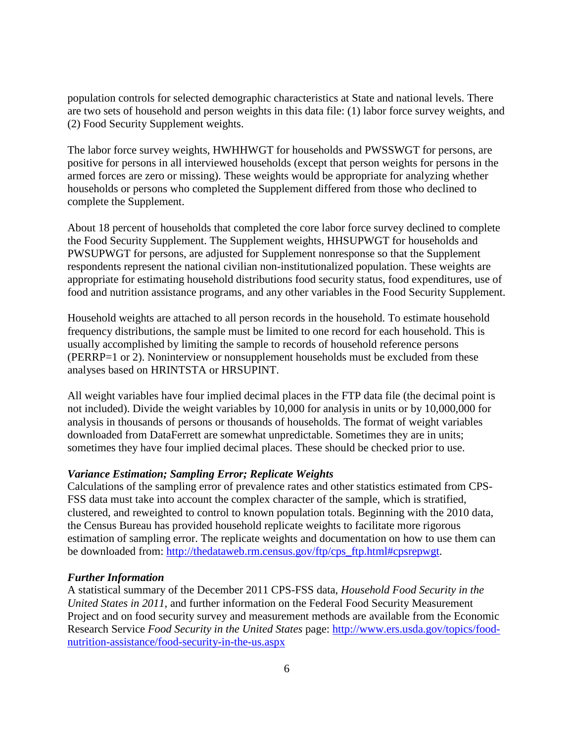population controls for selected demographic characteristics at State and national levels. There are two sets of household and person weights in this data file: (1) labor force survey weights, and (2) Food Security Supplement weights.

The labor force survey weights, HWHHWGT for households and PWSSWGT for persons, are positive for persons in all interviewed households (except that person weights for persons in the armed forces are zero or missing). These weights would be appropriate for analyzing whether households or persons who completed the Supplement differed from those who declined to complete the Supplement.

About 18 percent of households that completed the core labor force survey declined to complete the Food Security Supplement. The Supplement weights, HHSUPWGT for households and PWSUPWGT for persons, are adjusted for Supplement nonresponse so that the Supplement respondents represent the national civilian non-institutionalized population. These weights are appropriate for estimating household distributions food security status, food expenditures, use of food and nutrition assistance programs, and any other variables in the Food Security Supplement.

Household weights are attached to all person records in the household. To estimate household frequency distributions, the sample must be limited to one record for each household. This is usually accomplished by limiting the sample to records of household reference persons (PERRP=1 or 2). Noninterview or nonsupplement households must be excluded from these analyses based on HRINTSTA or HRSUPINT.

All weight variables have four implied decimal places in the FTP data file (the decimal point is not included). Divide the weight variables by 10,000 for analysis in units or by 10,000,000 for analysis in thousands of persons or thousands of households. The format of weight variables downloaded from DataFerrett are somewhat unpredictable. Sometimes they are in units; sometimes they have four implied decimal places. These should be checked prior to use.

### *Variance Estimation; Sampling Error; Replicate Weights*

Calculations of the sampling error of prevalence rates and other statistics estimated from CPS-FSS data must take into account the complex character of the sample, which is stratified, clustered, and reweighted to control to known population totals. Beginning with the 2010 data, the Census Bureau has provided household replicate weights to facilitate more rigorous estimation of sampling error. The replicate weights and documentation on how to use them can be downloaded from: [http://thedataweb.rm.census.gov/ftp/cps\\_ftp.html#cpsrepwgt.](http://thedataweb.rm.census.gov/ftp/cps_ftp.html#cpsrepwgt)

#### *Further Information*

A statistical summary of the December 2011 CPS-FSS data, *Household Food Security in the United States in 2011,* and further information on the Federal Food Security Measurement Project and on food security survey and measurement methods are available from the Economic Research Service *Food Security in the United States* page: [http://www.ers.usda.gov/topics/food](http://www.ers.usda.gov/topics/food-nutrition-assistance/food-security-in-the-us.aspx)[nutrition-assistance/food-security-in-the-us.aspx](http://www.ers.usda.gov/topics/food-nutrition-assistance/food-security-in-the-us.aspx)